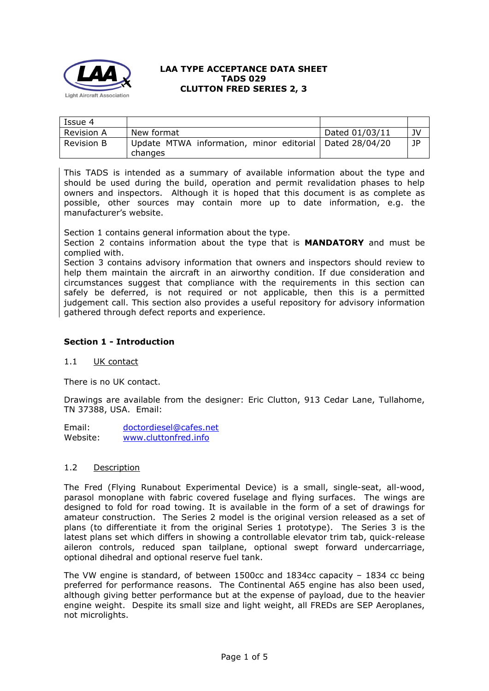

| Issue 4           |                                                                      |                |    |
|-------------------|----------------------------------------------------------------------|----------------|----|
| <b>Revision A</b> | New format                                                           | Dated 01/03/11 | JV |
| <b>Revision B</b> | Update MTWA information, minor editorial   Dated 28/04/20<br>changes |                | JP |

This TADS is intended as a summary of available information about the type and should be used during the build, operation and permit revalidation phases to help owners and inspectors. Although it is hoped that this document is as complete as possible, other sources may contain more up to date information, e.g. the manufacturer's website.

Section 1 contains general information about the type.

Section 2 contains information about the type that is **MANDATORY** and must be complied with.

Section 3 contains advisory information that owners and inspectors should review to help them maintain the aircraft in an airworthy condition. If due consideration and circumstances suggest that compliance with the requirements in this section can safely be deferred, is not required or not applicable, then this is a permitted judgement call. This section also provides a useful repository for advisory information gathered through defect reports and experience.

#### **Section 1 - Introduction**

#### 1.1 UK contact

There is no UK contact.

Drawings are available from the designer: Eric Clutton, 913 Cedar Lane, Tullahome, TN 37388, USA. Email:

Email: [doctordiesel@cafes.net](mailto:doctordiesel@cafes.net) Website: [www.cluttonfred.info](http://www.cluttonfred.info/)

#### 1.2 Description

The Fred (Flying Runabout Experimental Device) is a small, single-seat, all-wood, parasol monoplane with fabric covered fuselage and flying surfaces. The wings are designed to fold for road towing. It is available in the form of a set of drawings for amateur construction. The Series 2 model is the original version released as a set of plans (to differentiate it from the original Series 1 prototype). The Series 3 is the latest plans set which differs in showing a controllable elevator trim tab, quick-release aileron controls, reduced span tailplane, optional swept forward undercarriage, optional dihedral and optional reserve fuel tank.

The VW engine is standard, of between 1500cc and 1834cc capacity – 1834 cc being preferred for performance reasons. The Continental A65 engine has also been used, although giving better performance but at the expense of payload, due to the heavier engine weight. Despite its small size and light weight, all FREDs are SEP Aeroplanes, not microlights.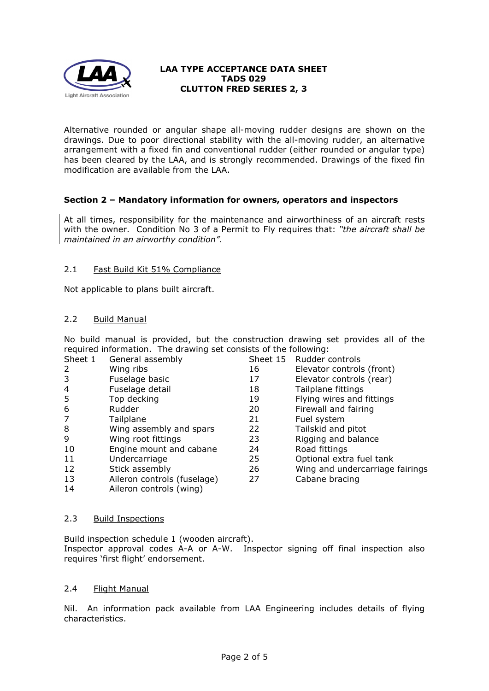

Alternative rounded or angular shape all-moving rudder designs are shown on the drawings. Due to poor directional stability with the all-moving rudder, an alternative arrangement with a fixed fin and conventional rudder (either rounded or angular type) has been cleared by the LAA, and is strongly recommended. Drawings of the fixed fin modification are available from the LAA.

# **Section 2 – Mandatory information for owners, operators and inspectors**

At all times, responsibility for the maintenance and airworthiness of an aircraft rests with the owner. Condition No 3 of a Permit to Fly requires that: *"the aircraft shall be maintained in an airworthy condition".* 

### 2.1 Fast Build Kit 51% Compliance

Not applicable to plans built aircraft.

### 2.2 Build Manual

No build manual is provided, but the construction drawing set provides all of the required information. The drawing set consists of the following:

| Sheet 1        | General assembly            | Sheet 15 | Rudder controls                 |
|----------------|-----------------------------|----------|---------------------------------|
| 2              | Wing ribs                   | 16       | Elevator controls (front)       |
| 3              | Fuselage basic              | 17       | Elevator controls (rear)        |
| $\overline{4}$ | Fuselage detail             | 18       | Tailplane fittings              |
| 5              | Top decking                 | 19       | Flying wires and fittings       |
| 6              | Rudder                      | 20       | Firewall and fairing            |
| 7              | Tailplane                   | 21       | Fuel system                     |
| 8              | Wing assembly and spars     | 22       | Tailskid and pitot              |
| 9              | Wing root fittings          | 23       | Rigging and balance             |
| 10             | Engine mount and cabane     | 24       | Road fittings                   |
| 11             | Undercarriage               | 25       | Optional extra fuel tank        |
| 12             | Stick assembly              | 26       | Wing and undercarriage fairings |
| 13             | Aileron controls (fuselage) | 27       | Cabane bracing                  |
| 14             | Aileron controls (wing)     |          |                                 |

#### 2.3 Build Inspections

Build inspection schedule 1 (wooden aircraft). Inspector approval codes A-A or A-W. Inspector signing off final inspection also requires 'first flight' endorsement.

#### 2.4 Flight Manual

Nil. An information pack available from LAA Engineering includes details of flying characteristics.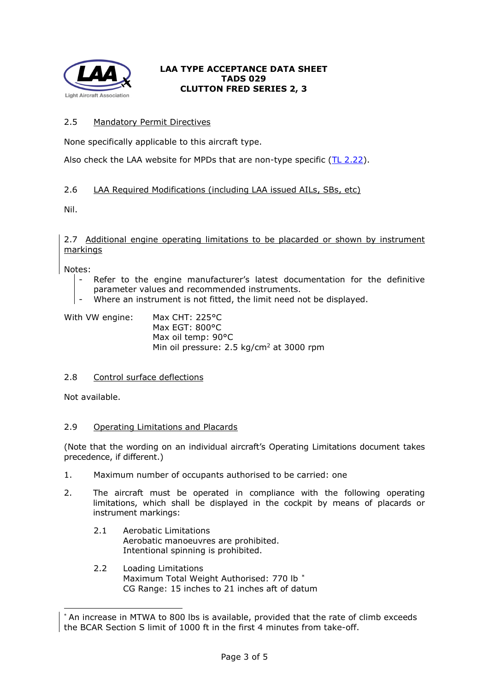

# 2.5 Mandatory Permit Directives

None specifically applicable to this aircraft type.

Also check the LAA website for MPDs that are non-type specific  $(IL 2.22)$  $(IL 2.22)$ .

# 2.6 LAA Required Modifications (including LAA issued AILs, SBs, etc)

Nil.

#### 2.7 Additional engine operating limitations to be placarded or shown by instrument markings

Notes:

- Refer to the engine manufacturer's latest documentation for the definitive parameter values and recommended instruments.
- Where an instrument is not fitted, the limit need not be displayed.

| With VW engine: | Max CHT: $225^{\circ}$ C                            |
|-----------------|-----------------------------------------------------|
|                 | Max EGT: 800°C                                      |
|                 | Max oil temp: 90°C                                  |
|                 | Min oil pressure: $2.5 \text{ kg/cm}^2$ at 3000 rpm |

# 2.8 Control surface deflections

Not available.

# 2.9 Operating Limitations and Placards

(Note that the wording on an individual aircraft's Operating Limitations document takes precedence, if different.)

- 1. Maximum number of occupants authorised to be carried: one
- 2. The aircraft must be operated in compliance with the following operating limitations, which shall be displayed in the cockpit by means of placards or instrument markings:
	- 2.1 Aerobatic Limitations Aerobatic manoeuvres are prohibited. Intentional spinning is prohibited.
	- 2.2 Loading Limitations Maximum Total Weight Authorised: 770 lb [\\*](#page-2-0) CG Range: 15 inches to 21 inches aft of datum

<span id="page-2-0"></span><sup>\*</sup> An increase in MTWA to 800 lbs is available, provided that the rate of climb exceeds the BCAR Section S limit of 1000 ft in the first 4 minutes from take-off.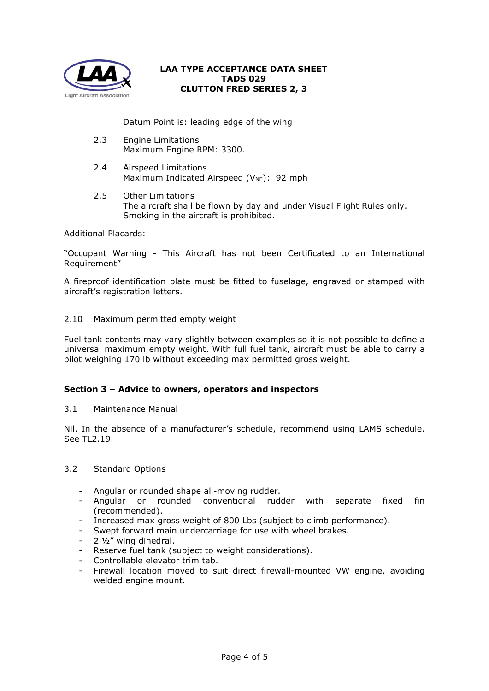

Datum Point is: leading edge of the wing

- 2.3 Engine Limitations Maximum Engine RPM: 3300.
- 2.4 Airspeed Limitations Maximum Indicated Airspeed ( $V_{NE}$ ): 92 mph
- 2.5 Other Limitations The aircraft shall be flown by day and under Visual Flight Rules only. Smoking in the aircraft is prohibited.

Additional Placards:

"Occupant Warning - This Aircraft has not been Certificated to an International Requirement"

A fireproof identification plate must be fitted to fuselage, engraved or stamped with aircraft's registration letters.

### 2.10 Maximum permitted empty weight

Fuel tank contents may vary slightly between examples so it is not possible to define a universal maximum empty weight. With full fuel tank, aircraft must be able to carry a pilot weighing 170 lb without exceeding max permitted gross weight.

#### **Section 3 – Advice to owners, operators and inspectors**

#### 3.1 Maintenance Manual

Nil. In the absence of a manufacturer's schedule, recommend using LAMS schedule. See TL2.19.

### 3.2 Standard Options

- Angular or rounded shape all-moving rudder.
- Angular or rounded conventional rudder with separate fixed fin (recommended).
- Increased max gross weight of 800 Lbs (subject to climb performance).
- Swept forward main undercarriage for use with wheel brakes.
- $-2$   $\frac{1}{2}$ " wing dihedral.
- Reserve fuel tank (subject to weight considerations).
- Controllable elevator trim tab.
- Firewall location moved to suit direct firewall-mounted VW engine, avoiding welded engine mount.